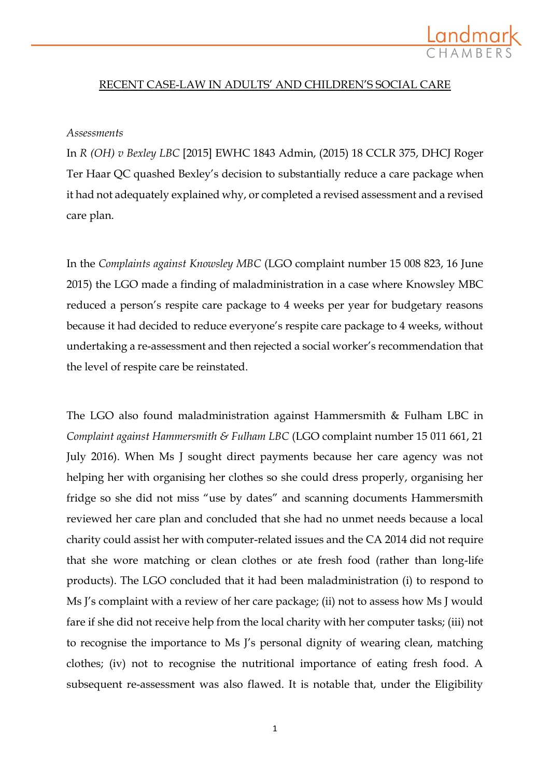

# RECENT CASE-LAW IN ADULTS' AND CHILDREN'S SOCIAL CARE

#### *Assessments*

In *R (OH) v Bexley LBC* [2015] EWHC 1843 Admin, (2015) 18 CCLR 375, DHCJ Roger Ter Haar QC quashed Bexley's decision to substantially reduce a care package when it had not adequately explained why, or completed a revised assessment and a revised care plan.

In the *Complaints against Knowsley MBC* (LGO complaint number 15 008 823, 16 June 2015) the LGO made a finding of maladministration in a case where Knowsley MBC reduced a person's respite care package to 4 weeks per year for budgetary reasons because it had decided to reduce everyone's respite care package to 4 weeks, without undertaking a re-assessment and then rejected a social worker's recommendation that the level of respite care be reinstated.

The LGO also found maladministration against Hammersmith & Fulham LBC in *Complaint against Hammersmith & Fulham LBC* (LGO complaint number 15 011 661, 21 July 2016). When Ms J sought direct payments because her care agency was not helping her with organising her clothes so she could dress properly, organising her fridge so she did not miss "use by dates" and scanning documents Hammersmith reviewed her care plan and concluded that she had no unmet needs because a local charity could assist her with computer-related issues and the CA 2014 did not require that she wore matching or clean clothes or ate fresh food (rather than long-life products). The LGO concluded that it had been maladministration (i) to respond to Ms J's complaint with a review of her care package; (ii) not to assess how Ms J would fare if she did not receive help from the local charity with her computer tasks; (iii) not to recognise the importance to Ms J's personal dignity of wearing clean, matching clothes; (iv) not to recognise the nutritional importance of eating fresh food. A subsequent re-assessment was also flawed. It is notable that, under the Eligibility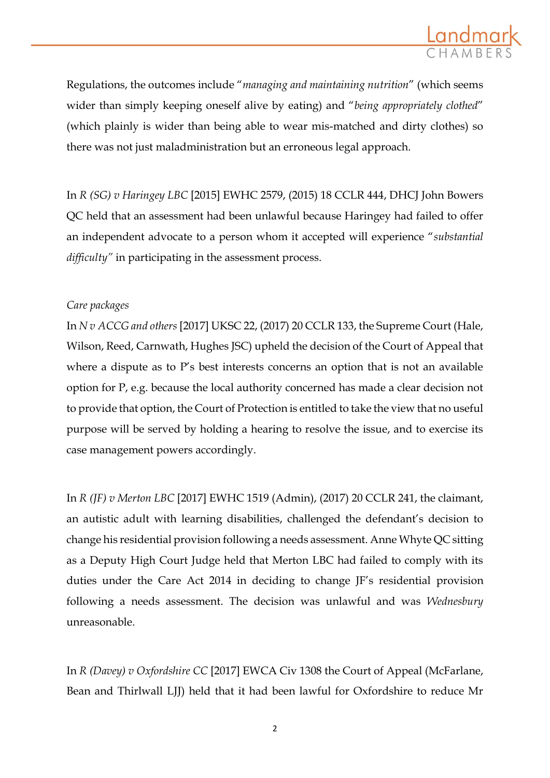

Regulations, the outcomes include "*managing and maintaining nutrition*" (which seems wider than simply keeping oneself alive by eating) and "*being appropriately clothed*" (which plainly is wider than being able to wear mis-matched and dirty clothes) so there was not just maladministration but an erroneous legal approach.

In *R (SG) v Haringey LBC* [2015] EWHC 2579, (2015) 18 CCLR 444, DHCJ John Bowers QC held that an assessment had been unlawful because Haringey had failed to offer an independent advocate to a person whom it accepted will experience "*substantial difficulty"* in participating in the assessment process.

## *Care packages*

In *N v ACCG and others* [2017] UKSC 22, (2017) 20 CCLR 133, the Supreme Court (Hale, Wilson, Reed, Carnwath, Hughes JSC) upheld the decision of the Court of Appeal that where a dispute as to P's best interests concerns an option that is not an available option for P, e.g. because the local authority concerned has made a clear decision not to provide that option, the Court of Protection is entitled to take the view that no useful purpose will be served by holding a hearing to resolve the issue, and to exercise its case management powers accordingly.

In *R (JF) v Merton LBC* [2017] EWHC 1519 (Admin), (2017) 20 CCLR 241, the claimant, an autistic adult with learning disabilities, challenged the defendant's decision to change his residential provision following a needs assessment. Anne Whyte QC sitting as a Deputy High Court Judge held that Merton LBC had failed to comply with its duties under the Care Act 2014 in deciding to change JF's residential provision following a needs assessment. The decision was unlawful and was *Wednesbury*  unreasonable.

In *R (Davey) v Oxfordshire CC* [2017] EWCA Civ 1308 the Court of Appeal (McFarlane, Bean and Thirlwall LJJ) held that it had been lawful for Oxfordshire to reduce Mr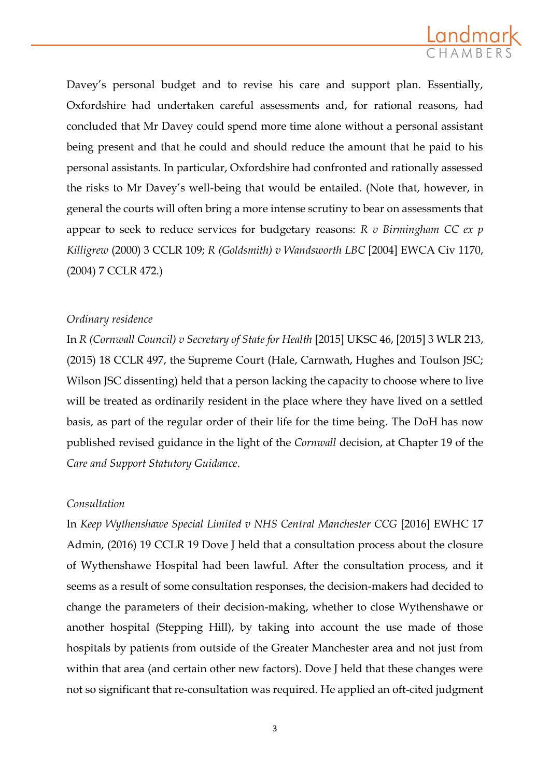

Davey's personal budget and to revise his care and support plan. Essentially, Oxfordshire had undertaken careful assessments and, for rational reasons, had concluded that Mr Davey could spend more time alone without a personal assistant being present and that he could and should reduce the amount that he paid to his personal assistants. In particular, Oxfordshire had confronted and rationally assessed the risks to Mr Davey's well-being that would be entailed. (Note that, however, in general the courts will often bring a more intense scrutiny to bear on assessments that appear to seek to reduce services for budgetary reasons: *R v Birmingham CC ex p Killigrew* (2000) 3 CCLR 109; *R (Goldsmith) v Wandsworth LBC* [2004] EWCA Civ 1170, (2004) 7 CCLR 472.)

## *Ordinary residence*

In *R (Cornwall Council) v Secretary of State for Health* [2015] UKSC 46, [2015] 3 WLR 213, (2015) 18 CCLR 497, the Supreme Court (Hale, Carnwath, Hughes and Toulson JSC; Wilson JSC dissenting) held that a person lacking the capacity to choose where to live will be treated as ordinarily resident in the place where they have lived on a settled basis, as part of the regular order of their life for the time being. The DoH has now published revised guidance in the light of the *Cornwall* decision, at Chapter 19 of the *Care and Support Statutory Guidance*.

## *Consultation*

In *Keep Wythenshawe Special Limited v NHS Central Manchester CCG* [2016] EWHC 17 Admin, (2016) 19 CCLR 19 Dove J held that a consultation process about the closure of Wythenshawe Hospital had been lawful. After the consultation process, and it seems as a result of some consultation responses, the decision-makers had decided to change the parameters of their decision-making, whether to close Wythenshawe or another hospital (Stepping Hill), by taking into account the use made of those hospitals by patients from outside of the Greater Manchester area and not just from within that area (and certain other new factors). Dove J held that these changes were not so significant that re-consultation was required. He applied an oft-cited judgment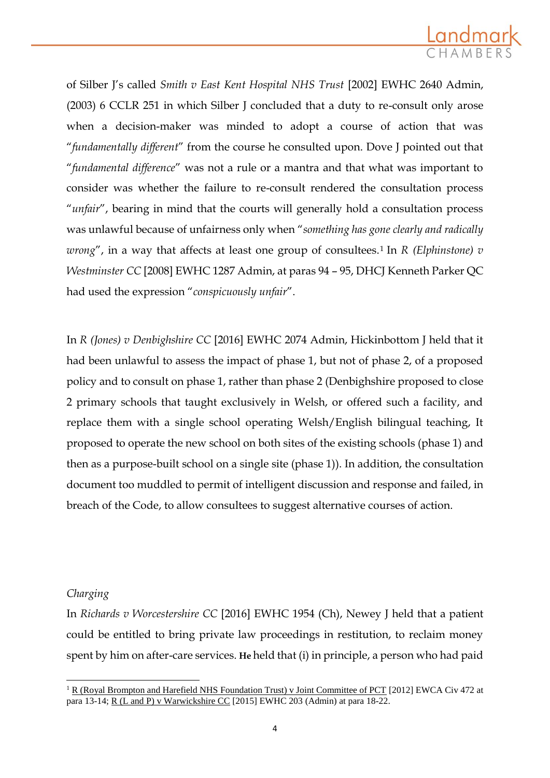

of Silber J's called *Smith v East Kent Hospital NHS Trust* [2002] EWHC 2640 Admin, (2003) 6 CCLR 251 in which Silber J concluded that a duty to re-consult only arose when a decision-maker was minded to adopt a course of action that was "*fundamentally different*" from the course he consulted upon. Dove J pointed out that "*fundamental difference*" was not a rule or a mantra and that what was important to consider was whether the failure to re-consult rendered the consultation process "*unfair*", bearing in mind that the courts will generally hold a consultation process was unlawful because of unfairness only when "*something has gone clearly and radically wrong*", in a way that affects at least one group of consultees.<sup>1</sup> In *R* (*Elphinstone*)  $v$ *Westminster CC* [2008] EWHC 1287 Admin, at paras 94 – 95, DHCJ Kenneth Parker QC had used the expression "*conspicuously unfair*".

In *R (Jones) v Denbighshire CC* [2016] EWHC 2074 Admin, Hickinbottom J held that it had been unlawful to assess the impact of phase 1, but not of phase 2, of a proposed policy and to consult on phase 1, rather than phase 2 (Denbighshire proposed to close 2 primary schools that taught exclusively in Welsh, or offered such a facility, and replace them with a single school operating Welsh/English bilingual teaching, It proposed to operate the new school on both sites of the existing schools (phase 1) and then as a purpose-built school on a single site (phase 1)). In addition, the consultation document too muddled to permit of intelligent discussion and response and failed, in breach of the Code, to allow consultees to suggest alternative courses of action.

# *Charging*

**.** 

In *Richards v Worcestershire CC* [2016] EWHC 1954 (Ch), Newey J held that a patient could be entitled to bring private law proceedings in restitution, to reclaim money spent by him on after-care services. **He** held that (i) in principle, a person who had paid

<sup>&</sup>lt;sup>1</sup> R (Royal Brompton and Harefield NHS Foundation Trust) v Joint Committee of PCT [2012] EWCA Civ 472 at para 13-14; R (L and P) v Warwickshire CC [2015] EWHC 203 (Admin) at para 18-22.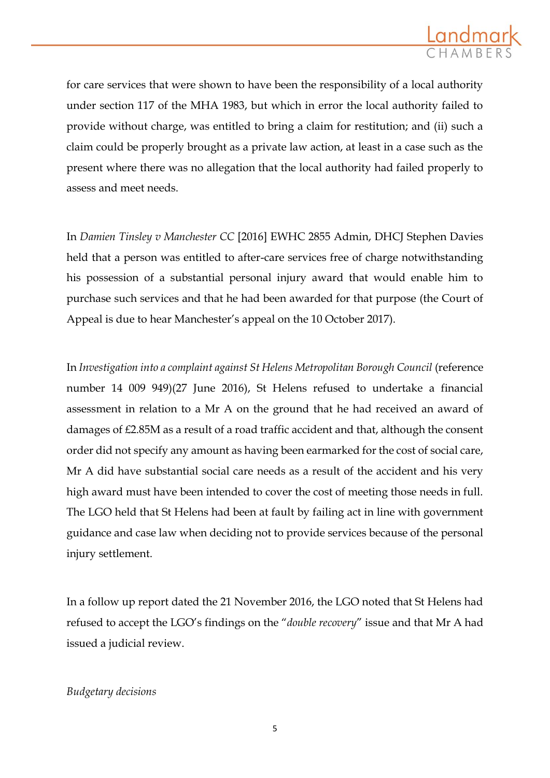

for care services that were shown to have been the responsibility of a local authority under section 117 of the MHA 1983, but which in error the local authority failed to provide without charge, was entitled to bring a claim for restitution; and (ii) such a claim could be properly brought as a private law action, at least in a case such as the present where there was no allegation that the local authority had failed properly to assess and meet needs.

In *Damien Tinsley v Manchester CC* [2016] EWHC 2855 Admin, DHCJ Stephen Davies held that a person was entitled to after-care services free of charge notwithstanding his possession of a substantial personal injury award that would enable him to purchase such services and that he had been awarded for that purpose (the Court of Appeal is due to hear Manchester's appeal on the 10 October 2017).

In *Investigation into a complaint against St Helens Metropolitan Borough Council* (reference number 14 009 949)(27 June 2016), St Helens refused to undertake a financial assessment in relation to a Mr A on the ground that he had received an award of damages of £2.85M as a result of a road traffic accident and that, although the consent order did not specify any amount as having been earmarked for the cost of social care, Mr A did have substantial social care needs as a result of the accident and his very high award must have been intended to cover the cost of meeting those needs in full. The LGO held that St Helens had been at fault by failing act in line with government guidance and case law when deciding not to provide services because of the personal injury settlement.

In a follow up report dated the 21 November 2016, the LGO noted that St Helens had refused to accept the LGO's findings on the "*double recovery*" issue and that Mr A had issued a judicial review.

## *Budgetary decisions*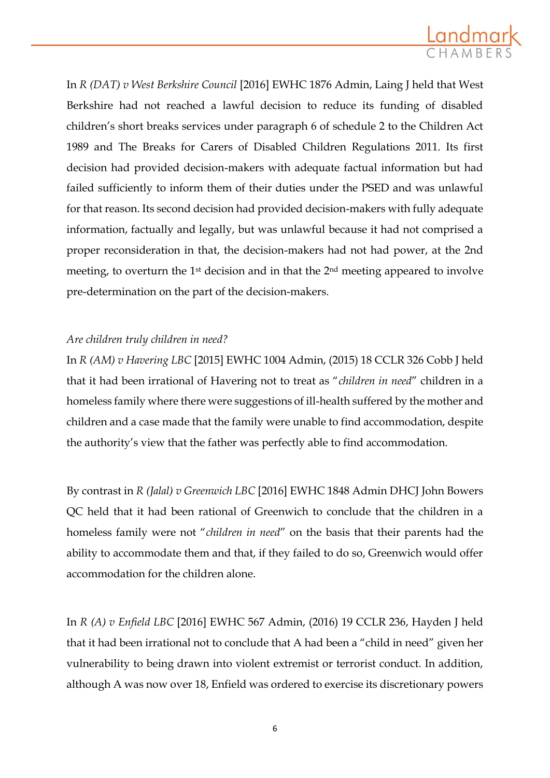

In *R (DAT) v West Berkshire Council* [2016] EWHC 1876 Admin, Laing J held that West Berkshire had not reached a lawful decision to reduce its funding of disabled children's short breaks services under paragraph 6 of schedule 2 to the Children Act 1989 and The Breaks for Carers of Disabled Children Regulations 2011. Its first decision had provided decision-makers with adequate factual information but had failed sufficiently to inform them of their duties under the PSED and was unlawful for that reason. Its second decision had provided decision-makers with fully adequate information, factually and legally, but was unlawful because it had not comprised a proper reconsideration in that, the decision-makers had not had power, at the 2nd meeting, to overturn the  $1<sup>st</sup>$  decision and in that the  $2<sup>nd</sup>$  meeting appeared to involve pre-determination on the part of the decision-makers.

# *Are children truly children in need?*

In *R (AM) v Havering LBC* [2015] EWHC 1004 Admin, (2015) 18 CCLR 326 Cobb J held that it had been irrational of Havering not to treat as "*children in need*" children in a homeless family where there were suggestions of ill-health suffered by the mother and children and a case made that the family were unable to find accommodation, despite the authority's view that the father was perfectly able to find accommodation.

By contrast in *R (Jalal) v Greenwich LBC* [2016] EWHC 1848 Admin DHCJ John Bowers QC held that it had been rational of Greenwich to conclude that the children in a homeless family were not "*children in need*" on the basis that their parents had the ability to accommodate them and that, if they failed to do so, Greenwich would offer accommodation for the children alone.

In *R (A) v Enfield LBC* [2016] EWHC 567 Admin, (2016) 19 CCLR 236, Hayden J held that it had been irrational not to conclude that A had been a "child in need" given her vulnerability to being drawn into violent extremist or terrorist conduct. In addition, although A was now over 18, Enfield was ordered to exercise its discretionary powers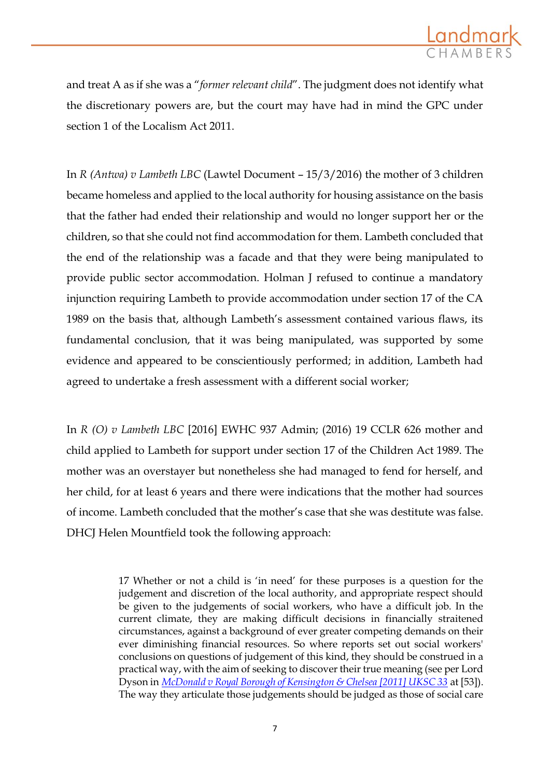

and treat A as if she was a "*former relevant child*". The judgment does not identify what the discretionary powers are, but the court may have had in mind the GPC under section 1 of the Localism Act 2011.

In *R (Antwa) v Lambeth LBC* (Lawtel Document – 15/3/2016) the mother of 3 children became homeless and applied to the local authority for housing assistance on the basis that the father had ended their relationship and would no longer support her or the children, so that she could not find accommodation for them. Lambeth concluded that the end of the relationship was a facade and that they were being manipulated to provide public sector accommodation. Holman J refused to continue a mandatory injunction requiring Lambeth to provide accommodation under section 17 of the CA 1989 on the basis that, although Lambeth's assessment contained various flaws, its fundamental conclusion, that it was being manipulated, was supported by some evidence and appeared to be conscientiously performed; in addition, Lambeth had agreed to undertake a fresh assessment with a different social worker;

In *R (O) v Lambeth LBC* [2016] EWHC 937 Admin; (2016) 19 CCLR 626 mother and child applied to Lambeth for support under section 17 of the Children Act 1989. The mother was an overstayer but nonetheless she had managed to fend for herself, and her child, for at least 6 years and there were indications that the mother had sources of income. Lambeth concluded that the mother's case that she was destitute was false. DHCJ Helen Mountfield took the following approach:

> 17 Whether or not a child is 'in need' for these purposes is a question for the judgement and discretion of the local authority, and appropriate respect should be given to the judgements of social workers, who have a difficult job. In the current climate, they are making difficult decisions in financially straitened circumstances, against a background of ever greater competing demands on their ever diminishing financial resources. So where reports set out social workers' conclusions on questions of judgement of this kind, they should be construed in a practical way, with the aim of seeking to discover their true meaning (see per Lord Dyson in *[McDonald v Royal Borough of Kensington & Chelsea \[2011\] UKSC 33](http://login.westlaw.co.uk/maf/wluk/app/document?src=doc&linktype=ref&context=127&crumb-action=replace&docguid=I84734B30A7C111E0A7C0A0F2F39EB80B)* at [53]). The way they articulate those judgements should be judged as those of social care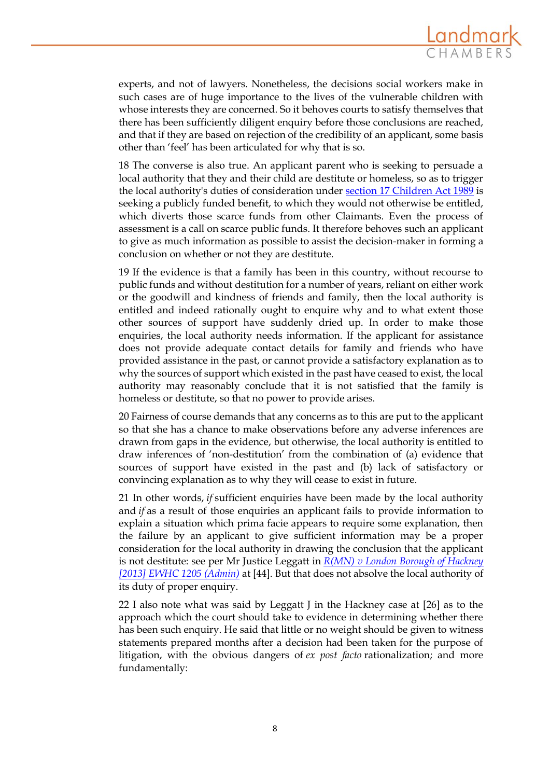

experts, and not of lawyers. Nonetheless, the decisions social workers make in such cases are of huge importance to the lives of the vulnerable children with whose interests they are concerned. So it behoves courts to satisfy themselves that there has been sufficiently diligent enquiry before those conclusions are reached, and that if they are based on rejection of the credibility of an applicant, some basis other than 'feel' has been articulated for why that is so.

18 The converse is also true. An applicant parent who is seeking to persuade a local authority that they and their child are destitute or homeless, so as to trigger the local authority's duties of consideration under [section 17 Children Act 1989](http://login.westlaw.co.uk/maf/wluk/app/document?src=doc&linktype=ref&context=127&crumb-action=replace&docguid=IB817D260E44B11DA8D70A0E70A78ED65) is seeking a publicly funded benefit, to which they would not otherwise be entitled, which diverts those scarce funds from other Claimants. Even the process of assessment is a call on scarce public funds. It therefore behoves such an applicant to give as much information as possible to assist the decision-maker in forming a conclusion on whether or not they are destitute.

19 If the evidence is that a family has been in this country, without recourse to public funds and without destitution for a number of years, reliant on either work or the goodwill and kindness of friends and family, then the local authority is entitled and indeed rationally ought to enquire why and to what extent those other sources of support have suddenly dried up. In order to make those enquiries, the local authority needs information. If the applicant for assistance does not provide adequate contact details for family and friends who have provided assistance in the past, or cannot provide a satisfactory explanation as to why the sources of support which existed in the past have ceased to exist, the local authority may reasonably conclude that it is not satisfied that the family is homeless or destitute, so that no power to provide arises.

20 Fairness of course demands that any concerns as to this are put to the applicant so that she has a chance to make observations before any adverse inferences are drawn from gaps in the evidence, but otherwise, the local authority is entitled to draw inferences of 'non-destitution' from the combination of (a) evidence that sources of support have existed in the past and (b) lack of satisfactory or convincing explanation as to why they will cease to exist in future.

21 In other words, *if* sufficient enquiries have been made by the local authority and *if* as a result of those enquiries an applicant fails to provide information to explain a situation which prima facie appears to require some explanation, then the failure by an applicant to give sufficient information may be a proper consideration for the local authority in drawing the conclusion that the applicant is not destitute: see per Mr Justice Leggatt in *[R\(MN\) v London Borough of Hackney](http://login.westlaw.co.uk/maf/wluk/app/document?src=doc&linktype=ref&context=127&crumb-action=replace&docguid=I53B2B810B9CA11E2B1D9FE5C3CE97EBC)  [\[2013\] EWHC 1205 \(Admin\)](http://login.westlaw.co.uk/maf/wluk/app/document?src=doc&linktype=ref&context=127&crumb-action=replace&docguid=I53B2B810B9CA11E2B1D9FE5C3CE97EBC)* at [44]. But that does not absolve the local authority of its duty of proper enquiry.

22 I also note what was said by Leggatt J in the Hackney case at [26] as to the approach which the court should take to evidence in determining whether there has been such enquiry. He said that little or no weight should be given to witness statements prepared months after a decision had been taken for the purpose of litigation, with the obvious dangers of *ex post facto* rationalization; and more fundamentally: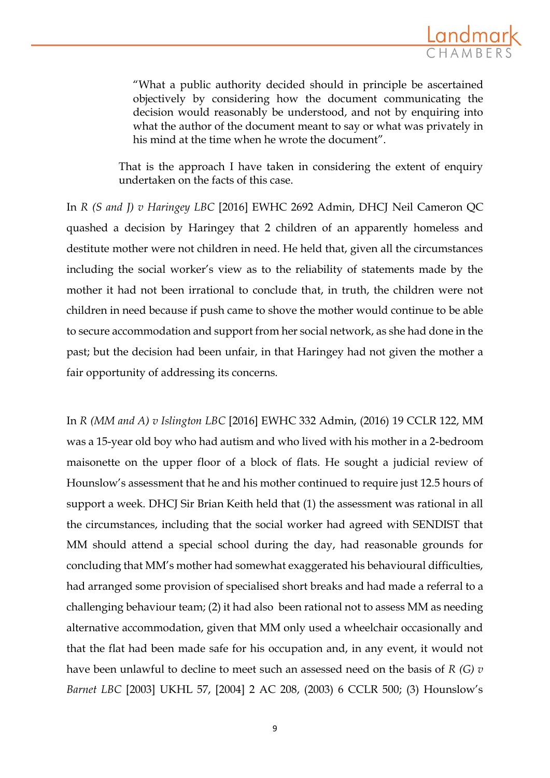

"What a public authority decided should in principle be ascertained objectively by considering how the document communicating the decision would reasonably be understood, and not by enquiring into what the author of the document meant to say or what was privately in his mind at the time when he wrote the document".

That is the approach I have taken in considering the extent of enquiry undertaken on the facts of this case.

In *R (S and J) v Haringey LBC* [2016] EWHC 2692 Admin, DHCJ Neil Cameron QC quashed a decision by Haringey that 2 children of an apparently homeless and destitute mother were not children in need. He held that, given all the circumstances including the social worker's view as to the reliability of statements made by the mother it had not been irrational to conclude that, in truth, the children were not children in need because if push came to shove the mother would continue to be able to secure accommodation and support from her social network, as she had done in the past; but the decision had been unfair, in that Haringey had not given the mother a fair opportunity of addressing its concerns.

In *R (MM and A) v Islington LBC* [2016] EWHC 332 Admin, (2016) 19 CCLR 122, MM was a 15-year old boy who had autism and who lived with his mother in a 2-bedroom maisonette on the upper floor of a block of flats. He sought a judicial review of Hounslow's assessment that he and his mother continued to require just 12.5 hours of support a week. DHCJ Sir Brian Keith held that (1) the assessment was rational in all the circumstances, including that the social worker had agreed with SENDIST that MM should attend a special school during the day, had reasonable grounds for concluding that MM's mother had somewhat exaggerated his behavioural difficulties, had arranged some provision of specialised short breaks and had made a referral to a challenging behaviour team; (2) it had also been rational not to assess MM as needing alternative accommodation, given that MM only used a wheelchair occasionally and that the flat had been made safe for his occupation and, in any event, it would not have been unlawful to decline to meet such an assessed need on the basis of *R (G) v Barnet LBC* [2003] UKHL 57, [2004] 2 AC 208, (2003) 6 CCLR 500; (3) Hounslow's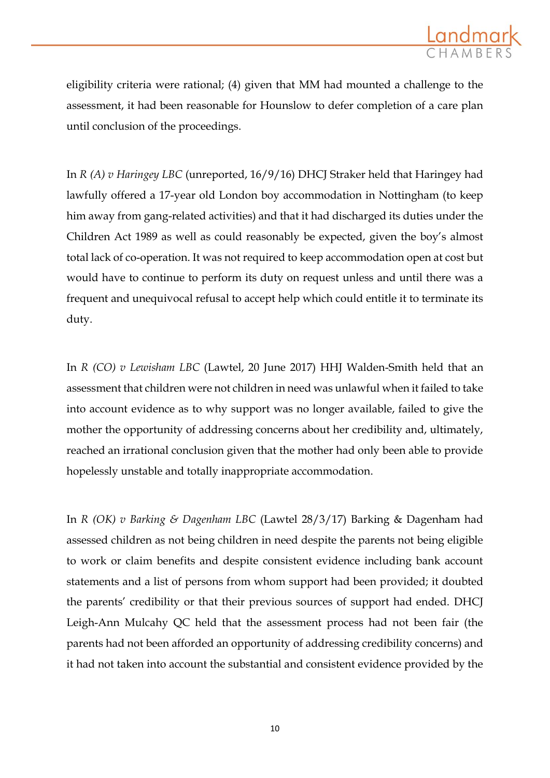

eligibility criteria were rational; (4) given that MM had mounted a challenge to the assessment, it had been reasonable for Hounslow to defer completion of a care plan until conclusion of the proceedings.

In *R (A) v Haringey LBC* (unreported, 16/9/16) DHCJ Straker held that Haringey had lawfully offered a 17-year old London boy accommodation in Nottingham (to keep him away from gang-related activities) and that it had discharged its duties under the Children Act 1989 as well as could reasonably be expected, given the boy's almost total lack of co-operation. It was not required to keep accommodation open at cost but would have to continue to perform its duty on request unless and until there was a frequent and unequivocal refusal to accept help which could entitle it to terminate its duty.

In *R (CO) v Lewisham LBC* (Lawtel, 20 June 2017) HHJ Walden-Smith held that an assessment that children were not children in need was unlawful when it failed to take into account evidence as to why support was no longer available, failed to give the mother the opportunity of addressing concerns about her credibility and, ultimately, reached an irrational conclusion given that the mother had only been able to provide hopelessly unstable and totally inappropriate accommodation.

In *R (OK) v Barking & Dagenham LBC* (Lawtel 28/3/17) Barking & Dagenham had assessed children as not being children in need despite the parents not being eligible to work or claim benefits and despite consistent evidence including bank account statements and a list of persons from whom support had been provided; it doubted the parents' credibility or that their previous sources of support had ended. DHCJ Leigh-Ann Mulcahy QC held that the assessment process had not been fair (the parents had not been afforded an opportunity of addressing credibility concerns) and it had not taken into account the substantial and consistent evidence provided by the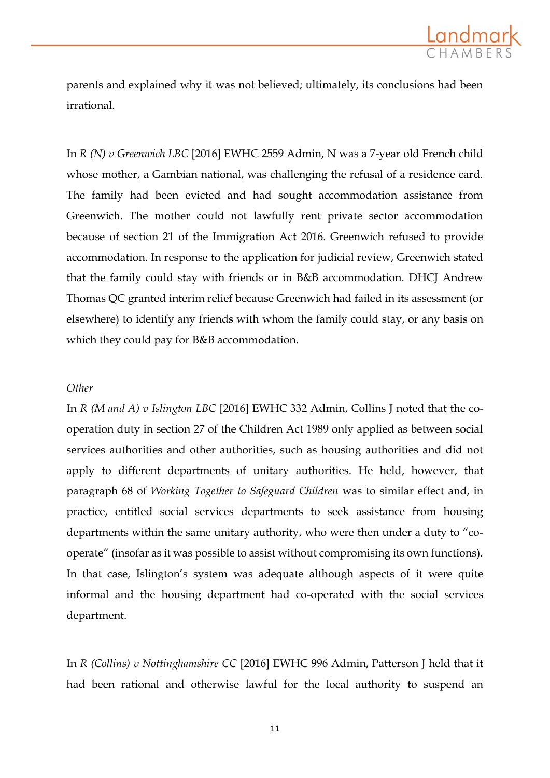

parents and explained why it was not believed; ultimately, its conclusions had been irrational.

In *R (N) v Greenwich LBC* [2016] EWHC 2559 Admin, N was a 7-year old French child whose mother, a Gambian national, was challenging the refusal of a residence card. The family had been evicted and had sought accommodation assistance from Greenwich. The mother could not lawfully rent private sector accommodation because of section 21 of the Immigration Act 2016. Greenwich refused to provide accommodation. In response to the application for judicial review, Greenwich stated that the family could stay with friends or in B&B accommodation. DHCJ Andrew Thomas QC granted interim relief because Greenwich had failed in its assessment (or elsewhere) to identify any friends with whom the family could stay, or any basis on which they could pay for B&B accommodation.

#### *Other*

In *R (M and A) v Islington LBC* [2016] EWHC 332 Admin, Collins J noted that the cooperation duty in section 27 of the Children Act 1989 only applied as between social services authorities and other authorities, such as housing authorities and did not apply to different departments of unitary authorities. He held, however, that paragraph 68 of *Working Together to Safeguard Children* was to similar effect and, in practice, entitled social services departments to seek assistance from housing departments within the same unitary authority, who were then under a duty to "cooperate" (insofar as it was possible to assist without compromising its own functions). In that case, Islington's system was adequate although aspects of it were quite informal and the housing department had co-operated with the social services department.

In *R (Collins) v Nottinghamshire CC* [2016] EWHC 996 Admin, Patterson J held that it had been rational and otherwise lawful for the local authority to suspend an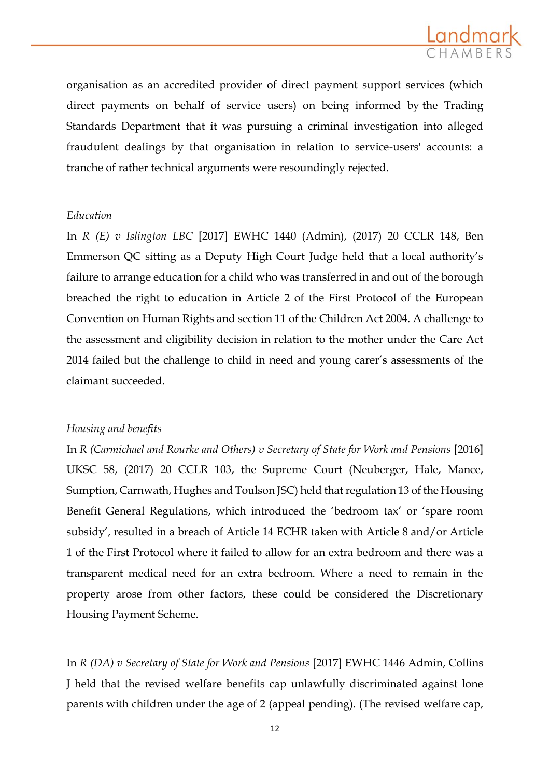

organisation as an accredited provider of direct payment support services (which direct payments on behalf of service users) on being informed by the Trading Standards Department that it was pursuing a criminal investigation into alleged fraudulent dealings by that organisation in relation to service-users' accounts: a tranche of rather technical arguments were resoundingly rejected.

#### *Education*

In *R (E) v Islington LBC* [2017] EWHC 1440 (Admin), (2017) 20 CCLR 148, Ben Emmerson QC sitting as a Deputy High Court Judge held that a local authority's failure to arrange education for a child who was transferred in and out of the borough breached the right to education in Article 2 of the First Protocol of the European Convention on Human Rights and section 11 of the Children Act 2004. A challenge to the assessment and eligibility decision in relation to the mother under the Care Act 2014 failed but the challenge to child in need and young carer's assessments of the claimant succeeded.

#### *Housing and benefits*

In *R (Carmichael and Rourke and Others) v Secretary of State for Work and Pensions* [2016] UKSC 58, (2017) 20 CCLR 103, the Supreme Court (Neuberger, Hale, Mance, Sumption, Carnwath, Hughes and Toulson JSC) held that regulation 13 of the Housing Benefit General Regulations, which introduced the 'bedroom tax' or 'spare room subsidy', resulted in a breach of Article 14 ECHR taken with Article 8 and/or Article 1 of the First Protocol where it failed to allow for an extra bedroom and there was a transparent medical need for an extra bedroom. Where a need to remain in the property arose from other factors, these could be considered the Discretionary Housing Payment Scheme.

In *R (DA) v Secretary of State for Work and Pensions* [2017] EWHC 1446 Admin, Collins J held that the revised welfare benefits cap unlawfully discriminated against lone parents with children under the age of 2 (appeal pending). (The revised welfare cap,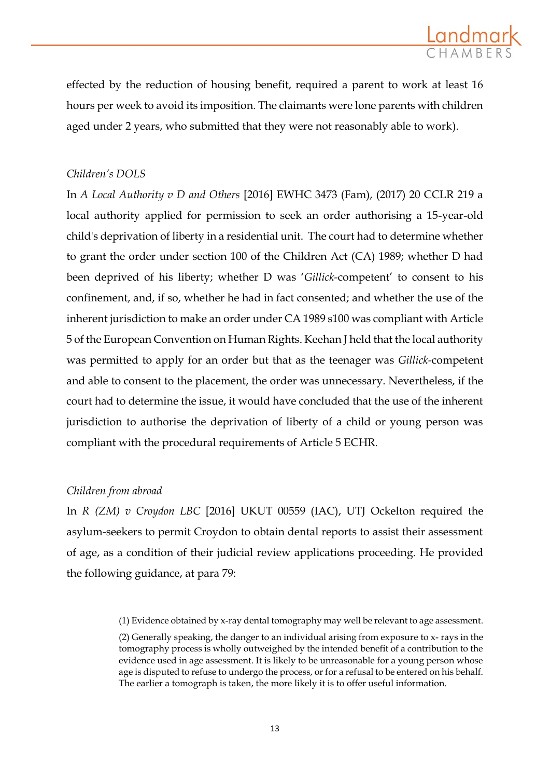

effected by the reduction of housing benefit, required a parent to work at least 16 hours per week to avoid its imposition. The claimants were lone parents with children aged under 2 years, who submitted that they were not reasonably able to work).

## *Children's DOLS*

In *A Local Authority v D and Others* [2016] EWHC 3473 (Fam), (2017) 20 CCLR 219 a local authority applied for permission to seek an order authorising a 15-year-old child's deprivation of liberty in a residential unit. The court had to determine whether to grant the order under section 100 of the Children Act (CA) 1989; whether D had been deprived of his liberty; whether D was '*Gillick-*competent' to consent to his confinement, and, if so, whether he had in fact consented; and whether the use of the inherent jurisdiction to make an order under CA 1989 s100 was compliant with Article 5 of the European Convention on Human Rights. Keehan J held that the local authority was permitted to apply for an order but that as the teenager was *Gillick-*competent and able to consent to the placement, the order was unnecessary. Nevertheless, if the court had to determine the issue, it would have concluded that the use of the inherent jurisdiction to authorise the deprivation of liberty of a child or young person was compliant with the procedural requirements of Article 5 ECHR.

## *Children from abroad*

In *R (ZM) v Croydon LBC* [2016] UKUT 00559 (IAC), UTJ Ockelton required the asylum-seekers to permit Croydon to obtain dental reports to assist their assessment of age, as a condition of their judicial review applications proceeding. He provided the following guidance, at para 79:

<sup>(1)</sup> Evidence obtained by x-ray dental tomography may well be relevant to age assessment.

<sup>(2)</sup> Generally speaking, the danger to an individual arising from exposure to x- rays in the tomography process is wholly outweighed by the intended benefit of a contribution to the evidence used in age assessment. It is likely to be unreasonable for a young person whose age is disputed to refuse to undergo the process, or for a refusal to be entered on his behalf. The earlier a tomograph is taken, the more likely it is to offer useful information.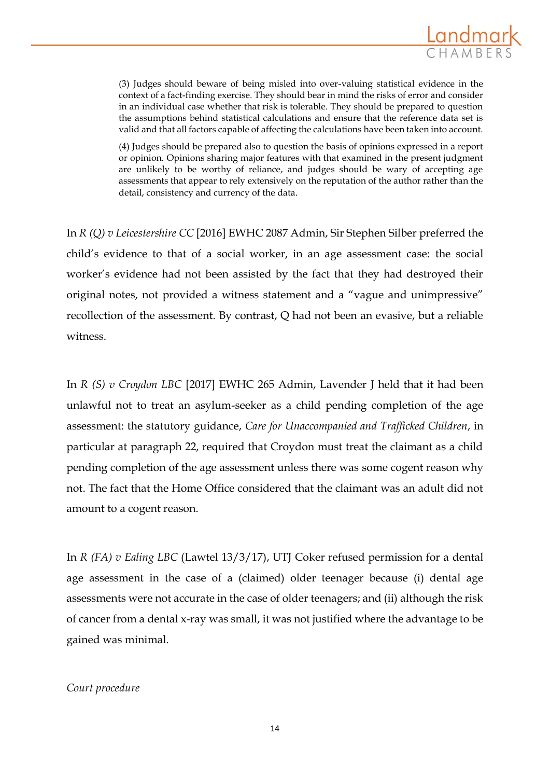

(3) Judges should beware of being misled into over-valuing statistical evidence in the context of a fact-finding exercise. They should bear in mind the risks of error and consider in an individual case whether that risk is tolerable. They should be prepared to question the assumptions behind statistical calculations and ensure that the reference data set is valid and that all factors capable of affecting the calculations have been taken into account.

(4) Judges should be prepared also to question the basis of opinions expressed in a report or opinion. Opinions sharing major features with that examined in the present judgment are unlikely to be worthy of reliance, and judges should be wary of accepting age assessments that appear to rely extensively on the reputation of the author rather than the detail, consistency and currency of the data.

In *R (Q) v Leicestershire CC* [2016] EWHC 2087 Admin, Sir Stephen Silber preferred the child's evidence to that of a social worker, in an age assessment case: the social worker's evidence had not been assisted by the fact that they had destroyed their original notes, not provided a witness statement and a "vague and unimpressive" recollection of the assessment. By contrast, Q had not been an evasive, but a reliable witness.

In *R (S) v Croydon LBC* [2017] EWHC 265 Admin, Lavender J held that it had been unlawful not to treat an asylum-seeker as a child pending completion of the age assessment: the statutory guidance, *Care for Unaccompanied and Trafficked Children*, in particular at paragraph 22, required that Croydon must treat the claimant as a child pending completion of the age assessment unless there was some cogent reason why not. The fact that the Home Office considered that the claimant was an adult did not amount to a cogent reason.

In *R (FA) v Ealing LBC* (Lawtel 13/3/17), UTJ Coker refused permission for a dental age assessment in the case of a (claimed) older teenager because (i) dental age assessments were not accurate in the case of older teenagers; and (ii) although the risk of cancer from a dental x-ray was small, it was not justified where the advantage to be gained was minimal.

#### *Court procedure*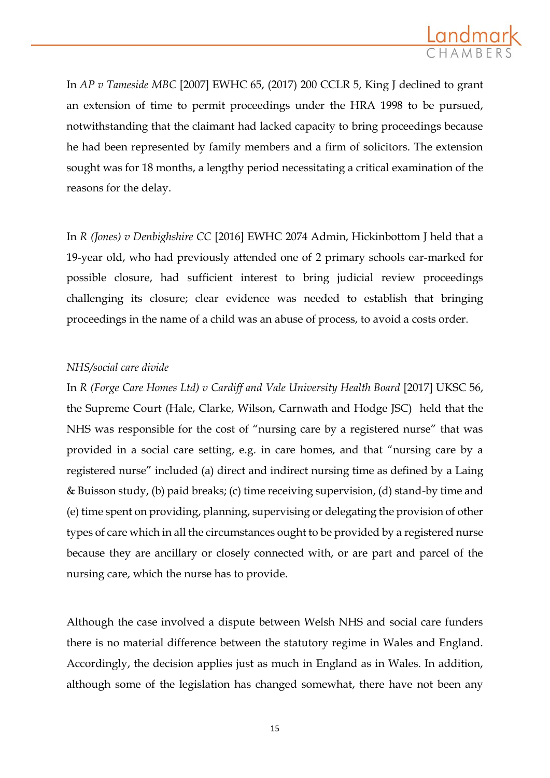

In *AP v Tameside MBC* [2007] EWHC 65, (2017) 200 CCLR 5, King J declined to grant an extension of time to permit proceedings under the HRA 1998 to be pursued, notwithstanding that the claimant had lacked capacity to bring proceedings because he had been represented by family members and a firm of solicitors. The extension sought was for 18 months, a lengthy period necessitating a critical examination of the reasons for the delay.

In *R (Jones) v Denbighshire CC* [2016] EWHC 2074 Admin, Hickinbottom J held that a 19-year old, who had previously attended one of 2 primary schools ear-marked for possible closure, had sufficient interest to bring judicial review proceedings challenging its closure; clear evidence was needed to establish that bringing proceedings in the name of a child was an abuse of process, to avoid a costs order.

## *NHS/social care divide*

In *R (Forge Care Homes Ltd) v Cardiff and Vale University Health Board* [2017] UKSC 56, the Supreme Court (Hale, Clarke, Wilson, Carnwath and Hodge JSC) held that the NHS was responsible for the cost of "nursing care by a registered nurse" that was provided in a social care setting, e.g. in care homes, and that "nursing care by a registered nurse" included (a) direct and indirect nursing time as defined by a Laing & Buisson study, (b) paid breaks; (c) time receiving supervision, (d) stand-by time and (e) time spent on providing, planning, supervising or delegating the provision of other types of care which in all the circumstances ought to be provided by a registered nurse because they are ancillary or closely connected with, or are part and parcel of the nursing care, which the nurse has to provide.

Although the case involved a dispute between Welsh NHS and social care funders there is no material difference between the statutory regime in Wales and England. Accordingly, the decision applies just as much in England as in Wales. In addition, although some of the legislation has changed somewhat, there have not been any